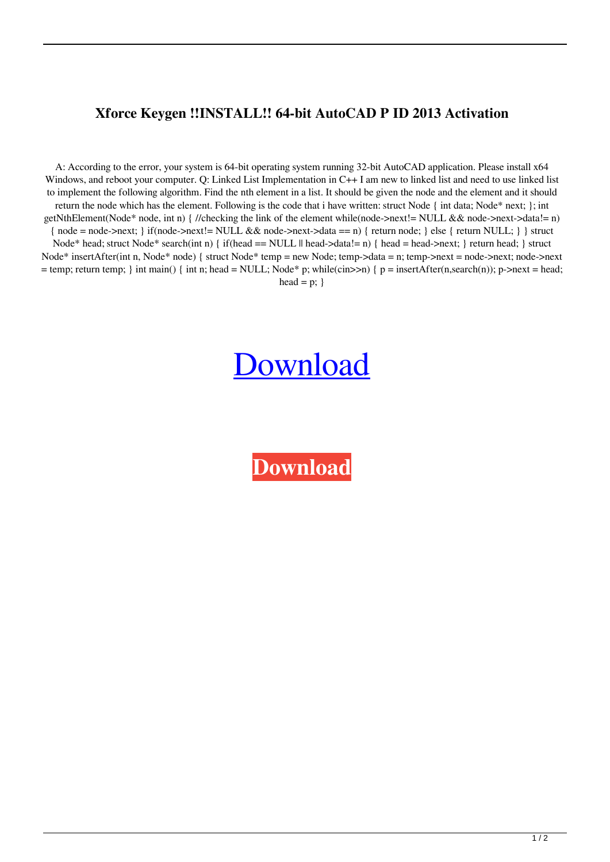## **Xforce Keygen !!INSTALL!! 64-bit AutoCAD P ID 2013 Activation**

A: According to the error, your system is 64-bit operating system running 32-bit AutoCAD application. Please install x64 Windows, and reboot your computer. Q: Linked List Implementation in C++ I am new to linked list and need to use linked list to implement the following algorithm. Find the nth element in a list. It should be given the node and the element and it should return the node which has the element. Following is the code that i have written: struct Node { int data; Node\* next; }; int getNthElement(Node\* node, int n) { //checking the link of the element while(node->next!= NULL && node->next->data!= n) { node = node->next; } if(node->next!= NULL && node->next->data == n) { return node; } else { return NULL; } } struct Node\* head; struct Node\* search(int n) { if(head  $==$  NULL  $\parallel$  head- $>$ data! $=$  n) { head  $=$  head- $>$ next; } return head; } struct Node\* insertAfter(int n, Node\* node) { struct Node\* temp = new Node; temp->data = n; temp->next = node->next; node->next  $=$  temp; return temp;  $\}$  int main()  $\{$  int n; head  $=$  NULL; Node\* p; while(cin>>n)  $\{p =$  insertAfter(n,search(n)); p->next = head; head =  $p$ ; }

## [Download](https://tlniurl.com/2l16sw)

**[Download](https://tlniurl.com/2l16sw)**